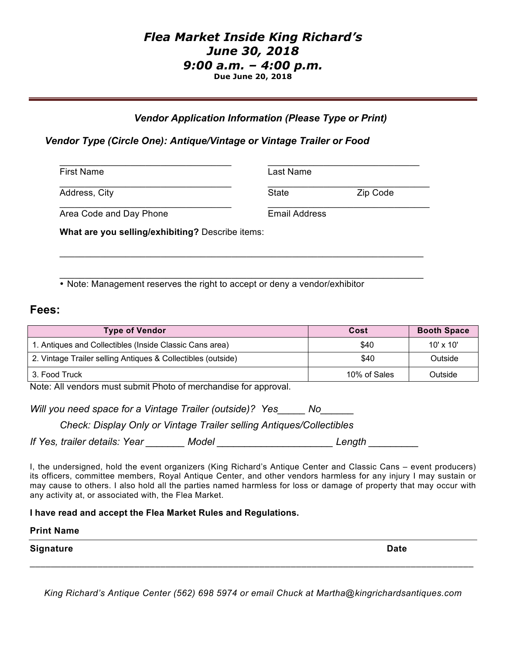# *Flea Market Inside King Richard's June 30, 2018 9:00 a.m. – 4:00 p.m.* **Due June 20, 2018**

### *Vendor Application Information (Please Type or Print)*

### *Vendor Type (Circle One): Antique/Vintage or Vintage Trailer or Food*

| <b>First Name</b>       | Last Name |                      |  |
|-------------------------|-----------|----------------------|--|
| Address, City           | State     | Zip Code             |  |
| Area Code and Day Phone |           | <b>Email Address</b> |  |

 $\_$  , and the set of the set of the set of the set of the set of the set of the set of the set of the set of the set of the set of the set of the set of the set of the set of the set of the set of the set of the set of th

**What are you selling/exhibiting?** Describe items:

 $\_$  , and the set of the set of the set of the set of the set of the set of the set of the set of the set of the set of the set of the set of the set of the set of the set of the set of the set of the set of the set of th • Note: Management reserves the right to accept or deny a vendor/exhibitor

## **Fees:**

| <b>Type of Vendor</b>                                        | Cost         | <b>Booth Space</b> |
|--------------------------------------------------------------|--------------|--------------------|
| 1. Antiques and Collectibles (Inside Classic Cans area)      | \$40         | $10' \times 10'$   |
| 2. Vintage Trailer selling Antiques & Collectibles (outside) | \$40         | Outside            |
| 3. Food Truck                                                | 10% of Sales | Outside            |

Note: All vendors must submit Photo of merchandise for approval.

*Will you need space for a Vintage Trailer (outside)? Yes\_\_\_\_\_ No\_\_\_\_\_\_*

*Check: Display Only or Vintage Trailer selling Antiques/Collectibles*

*If Yes, trailer details: Year \_\_\_\_\_\_\_ Model \_\_\_\_\_\_\_\_\_\_\_\_\_\_\_\_\_\_\_\_\_ Length \_\_\_\_\_\_\_\_\_*

I, the undersigned, hold the event organizers (King Richard's Antique Center and Classic Cans – event producers) its officers, committee members, Royal Antique Center, and other vendors harmless for any injury I may sustain or may cause to others. I also hold all the parties named harmless for loss or damage of property that may occur with any activity at, or associated with, the Flea Market.

**I have read and accept the Flea Market Rules and Regulations.**

#### **Print Name**

**Signature Date**

*King Richard's Antique Center (562) 698 5974 or email Chuck at Martha@kingrichardsantiques.com*

 $\_$  , and the set of the set of the set of the set of the set of the set of the set of the set of the set of the set of the set of the set of the set of the set of the set of the set of the set of the set of the set of th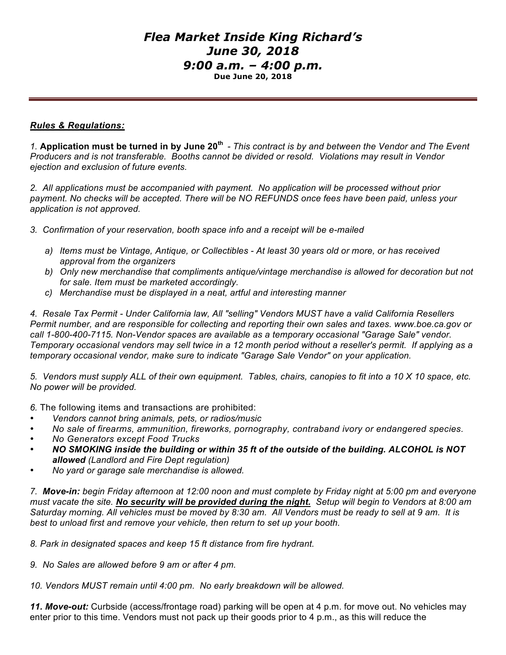# *Flea Market Inside King Richard's June 30, 2018 9:00 a.m. – 4:00 p.m.* **Due June 20, 2018**

### *Rules & Regulations:*

*1.* **Application must be turned in by June 20th** *- This contract is by and between the Vendor and The Event Producers and is not transferable. Booths cannot be divided or resold. Violations may result in Vendor ejection and exclusion of future events.*

*2. All applications must be accompanied with payment. No application will be processed without prior payment. No checks will be accepted. There will be NO REFUNDS once fees have been paid, unless your application is not approved.* 

*3. Confirmation of your reservation, booth space info and a receipt will be e-mailed*

- *a) Items must be Vintage, Antique, or Collectibles At least 30 years old or more, or has received approval from the organizers*
- *b) Only new merchandise that compliments antique/vintage merchandise is allowed for decoration but not for sale. Item must be marketed accordingly.*
- *c) Merchandise must be displayed in a neat, artful and interesting manner*

*4. Resale Tax Permit - Under California law, All "selling" Vendors MUST have a valid California Resellers Permit number, and are responsible for collecting and reporting their own sales and taxes. www.boe.ca.gov or call 1-800-400-7115. Non-Vendor spaces are available as a temporary occasional "Garage Sale" vendor. Temporary occasional vendors may sell twice in a 12 month period without a reseller's permit. If applying as a temporary occasional vendor, make sure to indicate "Garage Sale Vendor" on your application.*

*5. Vendors must supply ALL of their own equipment. Tables, chairs, canopies to fit into a 10 X 10 space, etc. No power will be provided.*

*6.* The following items and transactions are prohibited:

- *Vendors cannot bring animals, pets, or radios/music*
- *No sale of firearms, ammunition, fireworks, pornography, contraband ivory or endangered species.*
- *No Generators except Food Trucks*
- *NO SMOKING inside the building or within 35 ft of the outside of the building. ALCOHOL is NOT allowed (Landlord and Fire Dept regulation)*
- *No yard or garage sale merchandise is allowed.*

*7. Move-in: begin Friday afternoon at 12:00 noon and must complete by Friday night at 5:00 pm and everyone must vacate the site. No security will be provided during the night. Setup will begin to Vendors at 8:00 am Saturday morning. All vehicles must be moved by 8:30 am. All Vendors must be ready to sell at 9 am. It is best to unload first and remove your vehicle, then return to set up your booth.*

*8. Park in designated spaces and keep 15 ft distance from fire hydrant.*

*9. No Sales are allowed before 9 am or after 4 pm.*

*10. Vendors MUST remain until 4:00 pm. No early breakdown will be allowed.* 

*11. Move-out:* Curbside (access/frontage road) parking will be open at 4 p.m. for move out. No vehicles may enter prior to this time. Vendors must not pack up their goods prior to 4 p.m., as this will reduce the